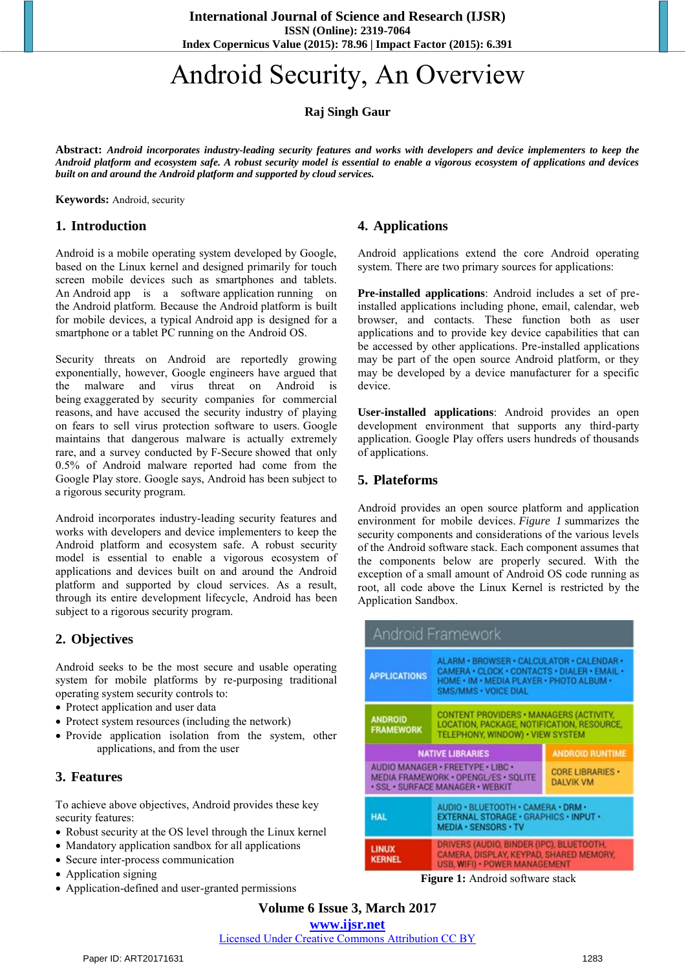**International Journal of Science and Research (IJSR) ISSN (Online): 2319-7064 Index Copernicus Value (2015): 78.96 | Impact Factor (2015): 6.391** 

# Android Security, An Overview

**Raj Singh Gaur**

**Abstract:** *Android incorporates industry-leading security features and works with developers and device implementers to keep the Android platform and ecosystem safe. A robust security model is essential to enable a vigorous ecosystem of applications and devices built on and around the Android platform and supported by cloud services.*

**Keywords:** Android, security

#### **1. Introduction**

Android is a mobile operating system developed by Google, based on the Linux kernel and designed primarily for touch screen mobile devices such as smartphones and tablets. An Android app is a software application running on the Android platform. Because the Android platform is built for mobile devices, a typical Android app is designed for a smartphone or a tablet PC running on the Android OS.

Security threats on Android are reportedly growing exponentially, however, Google engineers have argued that the malware and virus threat on Android is being [exaggerated b](https://en.wikipedia.org/wiki/Fear,_uncertainty_and_doubt)y security companies for commercial reasons, and have accused the security industry of playing on fears to sell virus protection software to users. Google maintains that dangerous malware is actually extremely rare, and a survey conducted by [F-Secure s](https://en.wikipedia.org/wiki/F-Secure)howed that only 0.5% of Android malware reported had come from the Google Play store. Google says, Android has been subject to a rigorous security program.

Android incorporates industry-leading security features and works with developers and device implementers to keep the Android platform and ecosystem safe. A robust security model is essential to enable a vigorous ecosystem of applications and devices built on and around the Android platform and supported by cloud services. As a result, through its entire development lifecycle, Android has been subject to a rigorous security program.

#### **2. Objectives**

Android seeks to be the most secure and usable operating system for mobile platforms by re-purposing traditional operating system security controls to:

- Protect application and user data
- Protect system resources (including the network)
- Provide application isolation from the system, other applications, and from the user

### **3. Features**

To achieve above objectives, Android provides these key security features:

- Robust security at the OS level through the Linux kernel
- Mandatory application sandbox for all applications
- Secure inter-process communication
- Application signing
- Application-defined and user-granted permissions

## **4. Applications**

Android applications extend the core Android operating system. There are two primary sources for applications:

**Pre-installed applications**: Android includes a set of preinstalled applications including phone, email, calendar, web browser, and contacts. These function both as user applications and to provide key device capabilities that can be accessed by other applications. Pre-installed applications may be part of the open source Android platform, or they may be developed by a device manufacturer for a specific device.

**User-installed applications**: Android provides an open development environment that supports any third-party application. Google Play offers users hundreds of thousands of applications.

### **5. Plateforms**

Android provides an open source platform and application environment for mobile devices. *Figure 1* summarizes the security components and considerations of the various levels of the Android software stack. Each component assumes that the components below are properly secured. With the exception of a small amount of Android OS code running as root, all code above the Linux Kernel is restricted by the Application Sandbox.

| Android Framework                                                                                             |                                                                                                                                                               |                                             |
|---------------------------------------------------------------------------------------------------------------|---------------------------------------------------------------------------------------------------------------------------------------------------------------|---------------------------------------------|
| <b>APPLICATIONS</b>                                                                                           | ALARM · BROWSER · CALCULATOR · CALENDAR ·<br>CAMERA · CLOCK · CONTACTS · DIALER · EMAIL ·<br>HOME . IM . MEDIA PLAYER . PHOTO ALBUM .<br>SMS/MMS · VOICE DIAL |                                             |
| <b>ANDROID</b><br><b>FRAMEWORK</b>                                                                            | CONTENT PROVIDERS . MANAGERS (ACTIVITY,<br>LOCATION, PACKAGE, NOTIFICATION, RESOURCE,<br>TELEPHONY, WINDOW) . VIEW SYSTEM                                     |                                             |
| <b>NATIVE LIBRARIES</b>                                                                                       |                                                                                                                                                               | <b>ANDROID RUNTIME</b>                      |
| AUDIO MANAGER · FREETYPE · LIBC ·<br>MEDIA FRAMEWORK . OPENGL/ES . SOLITE<br>· SSL · SURFACE MANAGER · WEBKIT |                                                                                                                                                               | <b>CORE LIBRARIES ·</b><br><b>DALVIK VM</b> |
| <b>HAL</b>                                                                                                    | AUDIO · BLUETOOTH · CAMERA · DRM ·<br>EXTERNAL STORAGE · GRAPHICS · INPUT ·<br>MEDIA · SENSORS · TV                                                           |                                             |
| <b>LINUX</b><br><b>KERNEL</b>                                                                                 | DRIVERS (AUDIO, BINDER (IPC), BLUETOOTH,<br>CAMERA, DISPLAY, KEYPAD, SHARED MEMORY,<br>USB, WIFI) · POWER MANAGEMENT                                          |                                             |

**Figure 1:** Android software stack

**Volume 6 Issue 3, March 2017** 

**www.ijsr.net**

Licensed Under Creative Commons Attribution CC BY